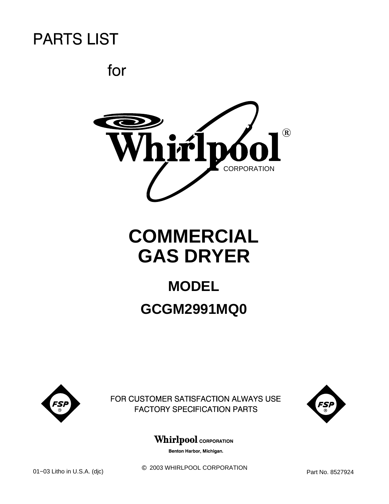for



# **COMMERCIAL GAS DRYER**

## **MODEL GCGM2991MQ0**



FOR CUSTOMER SATISFACTION ALWAYS USE **FACTORY SPECIFICATION PARTS** 



### **Whirlpool** CORPORATION

Benton Harbor, Michigan.

 $@$  2003 WHIRLPOOL CORPORATION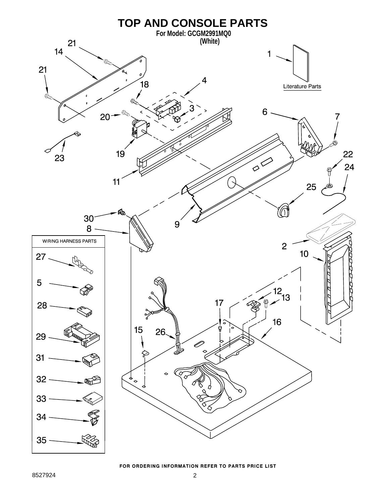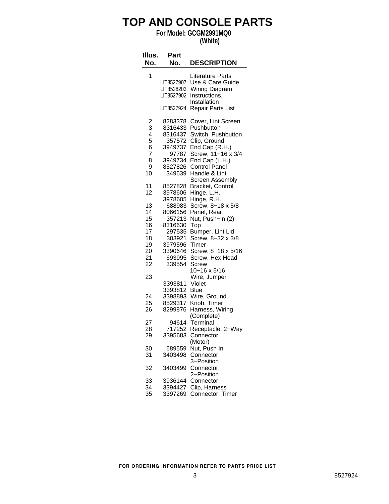### **TOP AND CONSOLE PARTS**

### **For Model: GCGM2991MQ0**

**(White)**

| Illus.<br>No.                                            | Part<br>No.                                                                                           | <b>DESCRIPTION</b>                                                                                                                                                                    |
|----------------------------------------------------------|-------------------------------------------------------------------------------------------------------|---------------------------------------------------------------------------------------------------------------------------------------------------------------------------------------|
| 1                                                        | LIT8527907<br>LIT8528203<br>LIT8527902<br>LIT8527924                                                  | <b>Literature Parts</b><br>Use & Care Guide<br>Wiring Diagram<br>Instructions,<br>Installation<br><b>Repair Parts List</b>                                                            |
| $\frac{2}{3}$<br>$\frac{4}{5}$<br>6<br>7<br>8<br>9<br>10 | 8283378<br>8316433<br>8316437<br>357572<br>3949737<br>97787<br>3949734<br>8527826<br>349639           | Cover, Lint Screen<br>Pushbutton<br>Switch, Pushbutton<br>Clip, Ground<br>End Cap (R.H.)<br>Screw, 11-16 x 3/4<br>End Cap (L.H.)<br>Control Panel<br>Handle & Lint<br>Screen Assembly |
| 11<br>12                                                 | 8527828<br>3978606                                                                                    | Bracket, Control<br>Hinge, L.H.                                                                                                                                                       |
| 13<br>14<br>15<br>16<br>17<br>18<br>19<br>20<br>21       | 3978605<br>688983<br>8066156<br>357213<br>8316630<br>297535<br>303921<br>3979596<br>3390646<br>693995 | Hinge, R.H.<br>Screw, 8-18 x 5/8<br>Panel, Rear<br>Nut, Push-In (2)<br>Top<br>Bumper, Lint Lid<br>Screw, 8-32 x 3/8<br>Timer<br>Screw, 8-18 x 5/16<br>Screw, Hex Head                 |
| 22                                                       | 339554                                                                                                | Screw<br>10-16 x 5/16                                                                                                                                                                 |
| 23<br>24<br>25<br>26                                     | 3393811<br>3393812<br>3398893<br>8529317<br>8299876                                                   | Wire, Jumper<br>Violet<br>Blue<br>Wire, Ground<br>Knob, Timer<br>Harness, Wiring                                                                                                      |
| 27<br>28<br>29                                           | 94614<br>717252<br>3395683                                                                            | (Complete)<br>Terminal<br>Receptacle, 2-Way<br>Connector                                                                                                                              |
| 30<br>31                                                 | 689559<br>3403498                                                                                     | (Motor)<br>Nut, Push In<br>Connector,<br>3-Position                                                                                                                                   |
| 32                                                       | 3403499                                                                                               | Connector,<br>2-Position                                                                                                                                                              |
| 33<br>34<br>35                                           | 3936144<br>3394427<br>3397269                                                                         | Connector<br>Clip, Harness<br>Connector, Timer                                                                                                                                        |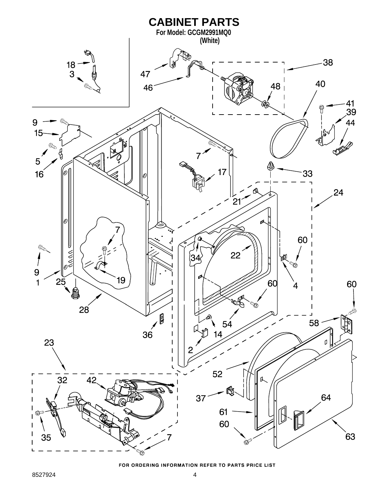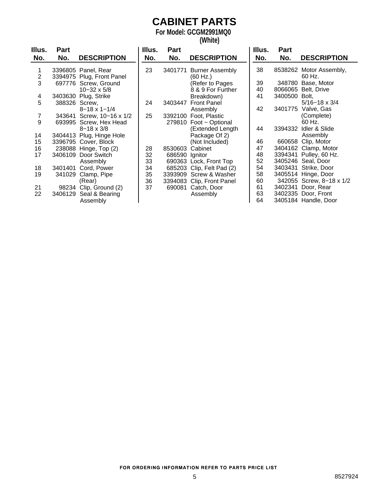## **CABINET PARTS**

**For Model: GCGM2991MQ0**

**(White)**

| Illus. | Part          |                           | Illus. | Part    |                        | Illus. | Part          |                          |
|--------|---------------|---------------------------|--------|---------|------------------------|--------|---------------|--------------------------|
| No.    | No.           | <b>DESCRIPTION</b>        | No.    | No.     | <b>DESCRIPTION</b>     | No.    | No.           | <b>DESCRIPTION</b>       |
|        |               | 3396805 Panel, Rear       | 23     | 3401771 | <b>Burner Assembly</b> | 38     |               | 8538262 Motor Assembly,  |
| 2      |               | 3394975 Plug, Front Panel |        |         | (60 Hz.)               |        |               | 60 Hz.                   |
| 3      |               | 697776 Screw, Ground      |        |         | (Refer to Pages        | 39     |               | 348780 Base, Motor       |
|        |               | $10 - 32 \times 5/8$      |        |         | 8 & 9 For Further      | 40     |               | 8066065 Belt, Drive      |
| 4      |               | 3403630 Plug, Strike      |        |         | Breakdown)             | 41     | 3400500 Bolt, |                          |
| 5      | 388326 Screw, |                           | 24     | 3403447 | <b>Front Panel</b>     |        |               | $5/16 - 18 \times 3/4$   |
|        |               | $8 - 18 \times 1 - 1/4$   |        |         | Assembly               | 42     |               | 3401775 Valve, Gas       |
| 7      |               | 343641 Screw, 10-16 x 1/2 | 25     | 3392100 | Foot, Plastic          |        |               | (Complete)               |
| 9      |               | 693995 Screw, Hex Head    |        |         | 279810 Foot - Optional |        |               | 60 Hz.                   |
|        |               | $8 - 18 \times 3/8$       |        |         | (Extended Length       | 44     | 3394332       | Idler & Slide            |
| 14     |               | 3404413 Plug, Hinge Hole  |        |         | Package Of 2)          |        |               | Assembly                 |
| 15     |               | 3396795 Cover, Block      |        |         | (Not Included)         | 46     |               | 660658 Clip, Motor       |
| 16     |               | 238088 Hinge, Top (2)     | 28     | 8530603 | Cabinet                | 47     |               | 3404162 Clamp, Motor     |
| 17     |               | 3406109 Door Switch       | 32     | 686590  | Ignitor                | 48     |               | 3394341 Pulley, 60 Hz.   |
|        |               | Assembly                  | 33     |         | 690363 Lock, Front Top | 52     |               | 3405246 Seal, Door       |
| 18     |               | 3401401 Cord, Power       | 34     | 685203  | Clip, Felt Pad (2)     | 54     |               | 3403431 Strike, Door     |
| 19     | 341029        | Clamp, Pipe               | 35     |         | 3393909 Screw & Washer | 58     |               | 3405514 Hinge, Door      |
|        |               | (Rear)                    | 36     | 3394083 | Clip, Front Panel      | 60     |               | 342055 Screw, 8-18 x 1/2 |
| 21     |               | 98234 Clip, Ground (2)    | 37     | 690081  | Catch, Door            | 61     |               | 3402341 Door, Rear       |
| 22     | 3406129       | Seal & Bearing            |        |         | Assembly               | 63     |               | 3402335 Door, Front      |
|        |               | Assembly                  |        |         |                        | 64     |               | 3405184 Handle, Door     |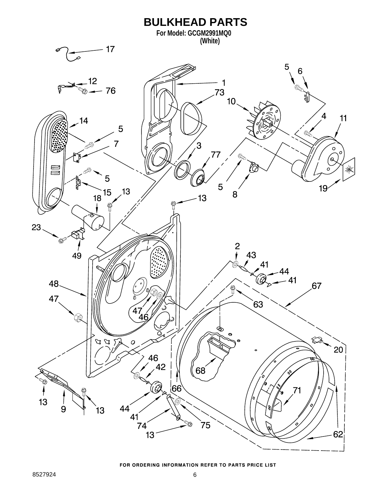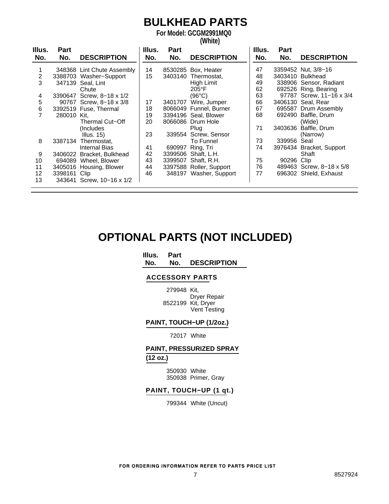## **BULKHEAD PARTS**

**For Model: GCGM2991MQ0 (White)**

| Illus.<br>No. | Part<br>No.  | <b>DESCRIPTION</b>         | Illus.<br>No. | Part<br>No. | <b>DESCRIPTION</b>      | Illus.<br>No. | <b>Part</b><br>No. | <b>DESCRIPTION</b>       |
|---------------|--------------|----------------------------|---------------|-------------|-------------------------|---------------|--------------------|--------------------------|
|               |              | 348368 Lint Chute Assembly | 14            |             | 8530285 Box, Heater     | 47            |                    | 3359452 Nut, 3/8-16      |
| 2             |              | 3388703 Washer-Support     | 15            | 3403140     | Thermostat,             | 48            |                    | 3403410 Bulkhead         |
| 3             | 347139       | Seal, Lint                 |               |             | High Limit              | 49            |                    | 338906 Sensor, Radiant   |
|               |              | Chute                      |               |             | $205^{\circ}$ F         | 62            |                    | 692526 Ring, Bearing     |
| 4             |              | 3390647 Screw, 8-18 x 1/2  |               |             | (96°C)                  | 63            |                    | 97787 Screw, 11-16 x 3/4 |
| 5             |              | 90767 Screw, 8-18 x 3/8    | 17            | 3401707     | Wire, Jumper            | 66            |                    | 3406130 Seal, Rear       |
| 6             |              | 3392519 Fuse, Thermal      | 18            |             | 8066049 Funnel, Burner  | 67            |                    | 695587 Drum Assembly     |
|               | 280010 Kit.  |                            | 19            |             | 3394196 Seal, Blower    | 68            | 692490             | Baffle, Drum             |
|               |              | Thermal Cut-Off            | 20            |             | 8066086 Drum Hole       |               |                    | (Wide)                   |
|               |              | (Includes                  |               |             | Plug                    | 71            | 3403636            | Baffle, Drum             |
|               |              | Illus. $15$ )              | 23            | 339554      | Screw, Sensor           |               |                    | (Narrow)                 |
| 8             |              | 3387134 Thermostat,        |               |             | To Funnel               | 73            | 339956             | Seal                     |
|               |              | <b>Internal Bias</b>       | 41            | 690997      | Ring, Tri               | 74            | 3976434            | Bracket, Support         |
| 9             |              | 3406022 Bracket, Bulkhead  | 42            | 3399506     | Shaft, L.H.             |               |                    | Shaft                    |
| 10            | 694089       | Wheel, Blower              | 43            | 3399507     | Shaft, R.H.             | 75            | 90296              | Clip                     |
| 11            |              | 3405016 Housing, Blower    | 44            |             | 3397588 Roller, Support | 76            |                    | 489463 Screw, 8-18 x 5/8 |
| 12            | 3398161 Clip |                            | 46            |             | 348197 Washer, Support  | 77            |                    | 696302 Shield, Exhaust   |
| 13            |              | 343641 Screw, 10-16 x 1/2  |               |             |                         |               |                    |                          |

### **OPTIONAL PARTS (NOT INCLUDED)**

#### **Illus. Part**

**No. No. DESCRIPTION**

#### **ACCESSORY PARTS**

279948 Kit, Dryer Repair 8522199 Kit, Dryer Vent Testing

#### **PAINT, TOUCH−UP (1/2oz.)**

#### 72017 White

#### **PAINT, PRESSURIZED SPRAY (12 oz.)**

350930 White 350938 Primer, Gray

#### **PAINT, TOUCH−UP (1 qt.)**

799344 White (Uncut)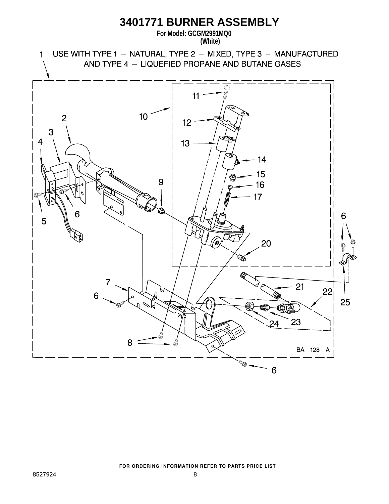### **3401771 BURNER ASSEMBLY**

**For Model: GCGM2991MQ0**

**(White)**

USE WITH TYPE 1 - NATURAL, TYPE 2 - MIXED, TYPE 3 - MANUFACTURED  $\mathbf{1}$ AND TYPE 4 - LIQUEFIED PROPANE AND BUTANE GASES